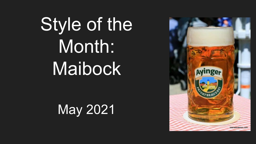# Style of the Month: Maibock

May 2021

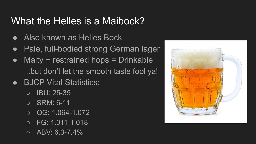#### What the Helles is a Maibock?

- Also known as Helles Bock
- Pale, full-bodied strong German lager
- $M$ alty + restrained hops = Drinkable ...but don't let the smooth taste fool ya!
- **BJCP Vital Statistics:** 
	- $\circ$  IBU: 25-35
	- SRM: 6-11
	- $\circ$  OG: 1.064-1.072
	- FG: 1.011-1.018
	- $\circ$  ABV: 6.3-7.4%

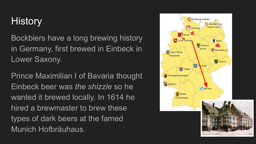### **History**

Bockbiers have a long brewing history in Germany, first brewed in Einbeck in Lower Saxony.

Prince Maximilian I of Bavaria thought Einbeck beer was *the shizzle* so he wanted it brewed locally. In 1614 he hired a brewmaster to brew these types of dark beers at the famed Munich Hofbräuhaus.

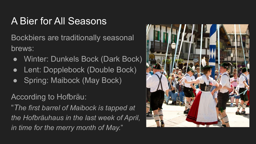### A Bier for All Seasons

Bockbiers are traditionally seasonal brews:

- Winter: Dunkels Bock (Dark Bock)
- Lent: Dopplebock (Double Bock)
- Spring: Maibock (May Bock)

According to Hofbräu:

"*The first barrel of Maibock is tapped at the Hofbräuhaus in the last week of April, in time for the merry month of May.*"

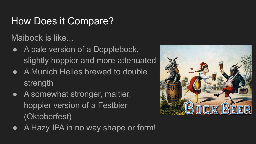#### How Does it Compare?

Maibock is like...

- A pale version of a Dopplebock, slightly hoppier and more attenuated
- A Munich Helles brewed to double strength
- A somewhat stronger, maltier, hoppier version of a Festbier (Oktoberfest)
- A Hazy IPA in no way shape or form!

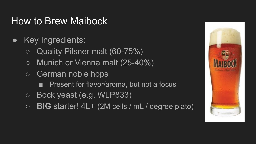#### How to Brew Maibock

- Key Ingredients:
	- Quality Pilsner malt (60-75%)
	- Munich or Vienna malt (25-40%)
	- German noble hops
		- Present for flavor/aroma, but not a focus
	- Bock yeast (e.g. WLP833)
	- **BIG** starter! 4L+ (2M cells / mL / degree plato)

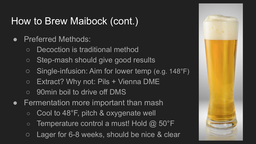### How to Brew Maibock (cont.)

- Preferred Methods:
	- Decoction is traditional method
	- Step-mash should give good results
	- Single-infusion: Aim for lower temp (e.g. 148°F)
	- $\circ$  Extract? Why not: Pils + Vienna DME
	- 90min boil to drive off DMS
- Fermentation more important than mash
	- $\circ$  Cool to 48°F, pitch & oxygenate well
	- $\circ$  Temperature control a must! Hold @ 50°F
	- Lager for 6-8 weeks, should be nice & clear